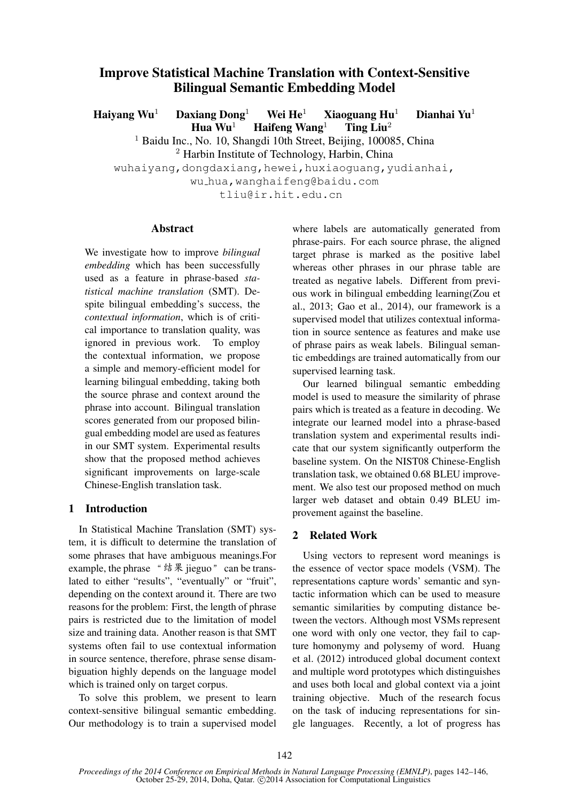# Improve Statistical Machine Translation with Context-Sensitive Bilingual Semantic Embedding Model

Haiyang Wu<sup>1</sup> Daxiang Dong<sup>1</sup> Wei He<sup>1</sup> Xiaoguang Hu<sup>1</sup> Dianhai Yu<sup>1</sup> Hua  $Wu^1$  Haifeng Wang<sup>1</sup> Ting Liu<sup>2</sup>

> <sup>1</sup> Baidu Inc., No. 10, Shangdi 10th Street, Beijing, 100085, China  $<sup>2</sup>$  Harbin Institute of Technology, Harbin, China</sup>

wuhaiyang,dongdaxiang,hewei,huxiaoguang,yudianhai,

wu hua,wanghaifeng@baidu.com

tliu@ir.hit.edu.cn

### Abstract

We investigate how to improve *bilingual embedding* which has been successfully used as a feature in phrase-based *statistical machine translation* (SMT). Despite bilingual embedding's success, the *contextual information*, which is of critical importance to translation quality, was ignored in previous work. To employ the contextual information, we propose a simple and memory-efficient model for learning bilingual embedding, taking both the source phrase and context around the phrase into account. Bilingual translation scores generated from our proposed bilingual embedding model are used as features in our SMT system. Experimental results show that the proposed method achieves significant improvements on large-scale Chinese-English translation task.

### 1 Introduction

In Statistical Machine Translation (SMT) system, it is difficult to determine the translation of some phrases that have ambiguous meanings.For example, the phrase "结果 jieguo" can be translated to either "results", "eventually" or "fruit", depending on the context around it. There are two reasons for the problem: First, the length of phrase pairs is restricted due to the limitation of model size and training data. Another reason is that SMT systems often fail to use contextual information in source sentence, therefore, phrase sense disambiguation highly depends on the language model which is trained only on target corpus.

To solve this problem, we present to learn context-sensitive bilingual semantic embedding. Our methodology is to train a supervised model where labels are automatically generated from phrase-pairs. For each source phrase, the aligned target phrase is marked as the positive label whereas other phrases in our phrase table are treated as negative labels. Different from previous work in bilingual embedding learning(Zou et al., 2013; Gao et al., 2014), our framework is a supervised model that utilizes contextual information in source sentence as features and make use of phrase pairs as weak labels. Bilingual semantic embeddings are trained automatically from our supervised learning task.

Our learned bilingual semantic embedding model is used to measure the similarity of phrase pairs which is treated as a feature in decoding. We integrate our learned model into a phrase-based translation system and experimental results indicate that our system significantly outperform the baseline system. On the NIST08 Chinese-English translation task, we obtained 0.68 BLEU improvement. We also test our proposed method on much larger web dataset and obtain 0.49 BLEU improvement against the baseline.

## 2 Related Work

Using vectors to represent word meanings is the essence of vector space models (VSM). The representations capture words' semantic and syntactic information which can be used to measure semantic similarities by computing distance between the vectors. Although most VSMs represent one word with only one vector, they fail to capture homonymy and polysemy of word. Huang et al. (2012) introduced global document context and multiple word prototypes which distinguishes and uses both local and global context via a joint training objective. Much of the research focus on the task of inducing representations for single languages. Recently, a lot of progress has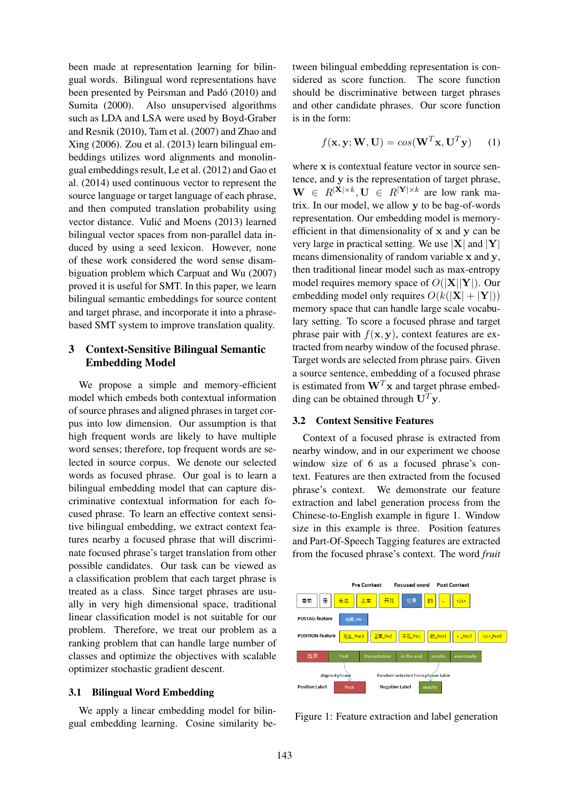been made at representation learning for bilingual words. Bilingual word representations have been presented by Peirsman and Padó (2010) and Sumita (2000). Also unsupervised algorithms such as LDA and LSA were used by Boyd-Graber and Resnik (2010), Tam et al. (2007) and Zhao and Xing (2006). Zou et al. (2013) learn bilingual embeddings utilizes word alignments and monolingual embeddings result, Le et al. (2012) and Gao et al. (2014) used continuous vector to represent the source language or target language of each phrase, and then computed translation probability using vector distance. Vulić and Moens (2013) learned bilingual vector spaces from non-parallel data induced by using a seed lexicon. However, none of these work considered the word sense disambiguation problem which Carpuat and Wu (2007) proved it is useful for SMT. In this paper, we learn bilingual semantic embeddings for source content and target phrase, and incorporate it into a phrasebased SMT system to improve translation quality.

## 3 Context-Sensitive Bilingual Semantic Embedding Model

We propose a simple and memory-efficient model which embeds both contextual information of source phrases and aligned phrases in target corpus into low dimension. Our assumption is that high frequent words are likely to have multiple word senses; therefore, top frequent words are selected in source corpus. We denote our selected words as focused phrase. Our goal is to learn a bilingual embedding model that can capture discriminative contextual information for each focused phrase. To learn an effective context sensitive bilingual embedding, we extract context features nearby a focused phrase that will discriminate focused phrase's target translation from other possible candidates. Our task can be viewed as a classification problem that each target phrase is treated as a class. Since target phrases are usually in very high dimensional space, traditional linear classification model is not suitable for our problem. Therefore, we treat our problem as a ranking problem that can handle large number of classes and optimize the objectives with scalable optimizer stochastic gradient descent.

### 3.1 Bilingual Word Embedding

We apply a linear embedding model for bilingual embedding learning. Cosine similarity between bilingual embedding representation is considered as score function. The score function should be discriminative between target phrases and other candidate phrases. Our score function is in the form:

$$
f(\mathbf{x}, \mathbf{y}; \mathbf{W}, \mathbf{U}) = \cos(\mathbf{W}^T \mathbf{x}, \mathbf{U}^T \mathbf{y}) \qquad (1)
$$

where x is contextual feature vector in source sentence, and y is the representation of target phrase,  $\mathbf{W} \in R^{|\mathbf{X}| \times k}, \mathbf{U} \in R^{|\mathbf{Y}| \times k}$  are low rank matrix. In our model, we allow y to be bag-of-words representation. Our embedding model is memoryefficient in that dimensionality of x and y can be very large in practical setting. We use  $|\mathbf{X}|$  and  $|\mathbf{Y}|$ means dimensionality of random variable x and y, then traditional linear model such as max-entropy model requires memory space of  $O(|X||Y|)$ . Our embedding model only requires  $O(k(|\mathbf{X}| + |\mathbf{Y}|))$ memory space that can handle large scale vocabulary setting. To score a focused phrase and target phrase pair with  $f(\mathbf{x}, \mathbf{y})$ , context features are extracted from nearby window of the focused phrase. Target words are selected from phrase pairs. Given a source sentence, embedding of a focused phrase is estimated from  $W<sup>T</sup>x$  and target phrase embedding can be obtained through  $U^T y$ .

### 3.2 Context Sensitive Features

Context of a focused phrase is extracted from nearby window, and in our experiment we choose window size of 6 as a focused phrase's context. Features are then extracted from the focused phrase's context. We demonstrate our feature extraction and label generation process from the Chinese-to-English example in figure 1. Window size in this example is three. Position features and Part-Of-Speech Tagging features are extracted from the focused phrase's context. The word *fruit*



Figure 1: Feature extraction and label generation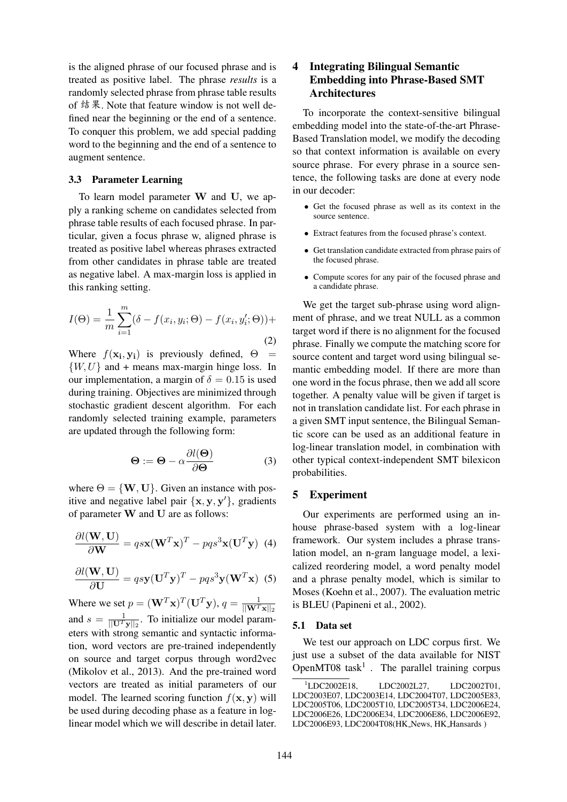is the aligned phrase of our focused phrase and is treated as positive label. The phrase *results* is a randomly selected phrase from phrase table results of 结果. Note that feature window is not well defined near the beginning or the end of a sentence. To conquer this problem, we add special padding word to the beginning and the end of a sentence to augment sentence.

#### 3.3 Parameter Learning

To learn model parameter W and U, we apply a ranking scheme on candidates selected from phrase table results of each focused phrase. In particular, given a focus phrase w, aligned phrase is treated as positive label whereas phrases extracted from other candidates in phrase table are treated as negative label. A max-margin loss is applied in this ranking setting.

$$
I(\Theta) = \frac{1}{m} \sum_{i=1}^{m} (\delta - f(x_i, y_i; \Theta) - f(x_i, y_i'; \Theta)) +
$$
\n(2)

Where  $f(\mathbf{x_i}, \mathbf{y_i})$  is previously defined,  $\Theta$  =  $\{W, U\}$  and + means max-margin hinge loss. In our implementation, a margin of  $\delta = 0.15$  is used during training. Objectives are minimized through stochastic gradient descent algorithm. For each randomly selected training example, parameters are updated through the following form:

$$
\Theta := \Theta - \alpha \frac{\partial l(\Theta)}{\partial \Theta} \tag{3}
$$

where  $\Theta = \{W, U\}$ . Given an instance with positive and negative label pair  $\{x, y, y'\}$ , gradients of parameter W and U are as follows:

$$
\frac{\partial l(\mathbf{W}, \mathbf{U})}{\partial \mathbf{W}} = q s \mathbf{x} (\mathbf{W}^T \mathbf{x})^T - p q s^3 \mathbf{x} (\mathbf{U}^T \mathbf{y})
$$
(4)

$$
\frac{\partial l(\mathbf{W}, \mathbf{U})}{\partial \mathbf{U}} = q s \mathbf{y} (\mathbf{U}^T \mathbf{y})^T - p q s^3 \mathbf{y} (\mathbf{W}^T \mathbf{x})
$$
 (5)

Where we set  $p = (\mathbf{W}^T \mathbf{x})^T (\mathbf{U}^T \mathbf{y}), q = \frac{1}{\|\mathbf{W}^T \mathbf{x}\|_2}$ and  $s = \frac{1}{\|\mathbf{U}^T \mathbf{y}\|_2}$ . To initialize our model parameters with strong semantic and syntactic information, word vectors are pre-trained independently on source and target corpus through word2vec (Mikolov et al., 2013). And the pre-trained word vectors are treated as initial parameters of our model. The learned scoring function  $f(\mathbf{x}, \mathbf{y})$  will be used during decoding phase as a feature in loglinear model which we will describe in detail later.

## 4 Integrating Bilingual Semantic Embedding into Phrase-Based SMT Architectures

To incorporate the context-sensitive bilingual embedding model into the state-of-the-art Phrase-Based Translation model, we modify the decoding so that context information is available on every source phrase. For every phrase in a source sentence, the following tasks are done at every node in our decoder:

- Get the focused phrase as well as its context in the source sentence.
- Extract features from the focused phrase's context.
- Get translation candidate extracted from phrase pairs of the focused phrase.
- Compute scores for any pair of the focused phrase and a candidate phrase.

We get the target sub-phrase using word alignment of phrase, and we treat NULL as a common target word if there is no alignment for the focused phrase. Finally we compute the matching score for source content and target word using bilingual semantic embedding model. If there are more than one word in the focus phrase, then we add all score together. A penalty value will be given if target is not in translation candidate list. For each phrase in a given SMT input sentence, the Bilingual Semantic score can be used as an additional feature in log-linear translation model, in combination with other typical context-independent SMT bilexicon probabilities.

### 5 Experiment

Our experiments are performed using an inhouse phrase-based system with a log-linear framework. Our system includes a phrase translation model, an n-gram language model, a lexicalized reordering model, a word penalty model and a phrase penalty model, which is similar to Moses (Koehn et al., 2007). The evaluation metric is BLEU (Papineni et al., 2002).

#### 5.1 Data set

We test our approach on LDC corpus first. We just use a subset of the data available for NIST OpenMT08  $task<sup>1</sup>$ . The parallel training corpus

 $1^1$ LDC2002E18, LDC2002L27, LDC2002T01, LDC2003E07, LDC2003E14, LDC2004T07, LDC2005E83, LDC2005T06, LDC2005T10, LDC2005T34, LDC2006E24, LDC2006E26, LDC2006E34, LDC2006E86, LDC2006E92, LDC2006E93, LDC2004T08(HK\_News, HK\_Hansards)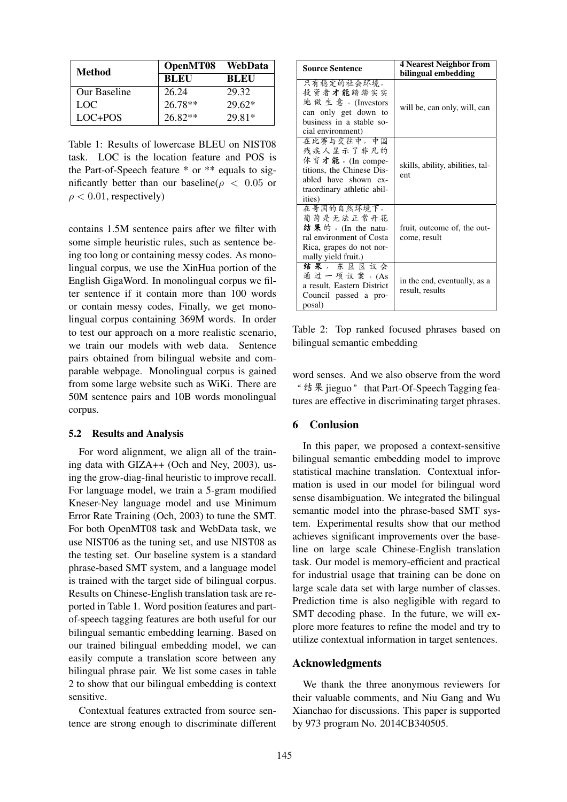| Method       | OpenMT08    | WebData     |
|--------------|-------------|-------------|
|              | <b>BLEU</b> | <b>BLEU</b> |
| Our Baseline | 26.24       | 29.32       |
| LOC.         | $26.78**$   | $29.62*$    |
| $LOC+POS$    | $26.82**$   | 29.81*      |

Table 1: Results of lowercase BLEU on NIST08 task. LOC is the location feature and POS is the Part-of-Speech feature \* or \*\* equals to significantly better than our baseline( $\rho < 0.05$  or  $\rho < 0.01$ , respectively)

contains 1.5M sentence pairs after we filter with some simple heuristic rules, such as sentence being too long or containing messy codes. As monolingual corpus, we use the XinHua portion of the English GigaWord. In monolingual corpus we filter sentence if it contain more than 100 words or contain messy codes, Finally, we get monolingual corpus containing 369M words. In order to test our approach on a more realistic scenario, we train our models with web data. Sentence pairs obtained from bilingual website and comparable webpage. Monolingual corpus is gained from some large website such as WiKi. There are 50M sentence pairs and 10B words monolingual corpus.

### 5.2 Results and Analysis

For word alignment, we align all of the training data with GIZA++ (Och and Ney, 2003), using the grow-diag-final heuristic to improve recall. For language model, we train a 5-gram modified Kneser-Ney language model and use Minimum Error Rate Training (Och, 2003) to tune the SMT. For both OpenMT08 task and WebData task, we use NIST06 as the tuning set, and use NIST08 as the testing set. Our baseline system is a standard phrase-based SMT system, and a language model is trained with the target side of bilingual corpus. Results on Chinese-English translation task are reported in Table 1. Word position features and partof-speech tagging features are both useful for our bilingual semantic embedding learning. Based on our trained bilingual embedding model, we can easily compute a translation score between any bilingual phrase pair. We list some cases in table 2 to show that our bilingual embedding is context sensitive.

Contextual features extracted from source sentence are strong enough to discriminate different

| <b>Source Sentence</b>                                                                                                                  | <b>4 Nearest Neighbor from</b>                  |  |
|-----------------------------------------------------------------------------------------------------------------------------------------|-------------------------------------------------|--|
|                                                                                                                                         | bilingual embedding                             |  |
| 只有稳定的社会环境,<br>投资者才能踏踏实实<br>地做生意。(Investors<br>can only get down to<br>business in a stable so-<br>cial environment)                     | will be, can only, will, can                    |  |
| 在比赛与交往中,中国<br>残疾人显示了非凡的<br>体育才能。(In compe-<br>titions, the Chinese Dis-<br>abled have shown ex-<br>traordinary athletic abil-<br>ities) | skills, ability, abilities, tal-<br>ent         |  |
| 在哥国的自然环境下,<br>葡萄是无法正常开花<br>结果的。(In the natu-<br>ral environment of Costa<br>Rica, grapes do not nor-<br>mally yield fruit.)             | fruit, outcome of, the out-<br>come, result     |  |
| 结果,东区区议会<br>通过一项议案。(As<br>a result, Eastern District<br>Council passed a pro-<br>posal)                                                 | in the end, eventually, as a<br>result, results |  |

Table 2: Top ranked focused phrases based on bilingual semantic embedding

word senses. And we also observe from the word "结果 jieguo" that Part-Of-Speech Tagging features are effective in discriminating target phrases.

### 6 Conlusion

In this paper, we proposed a context-sensitive bilingual semantic embedding model to improve statistical machine translation. Contextual information is used in our model for bilingual word sense disambiguation. We integrated the bilingual semantic model into the phrase-based SMT system. Experimental results show that our method achieves significant improvements over the baseline on large scale Chinese-English translation task. Our model is memory-efficient and practical for industrial usage that training can be done on large scale data set with large number of classes. Prediction time is also negligible with regard to SMT decoding phase. In the future, we will explore more features to refine the model and try to utilize contextual information in target sentences.

### Acknowledgments

We thank the three anonymous reviewers for their valuable comments, and Niu Gang and Wu Xianchao for discussions. This paper is supported by 973 program No. 2014CB340505.